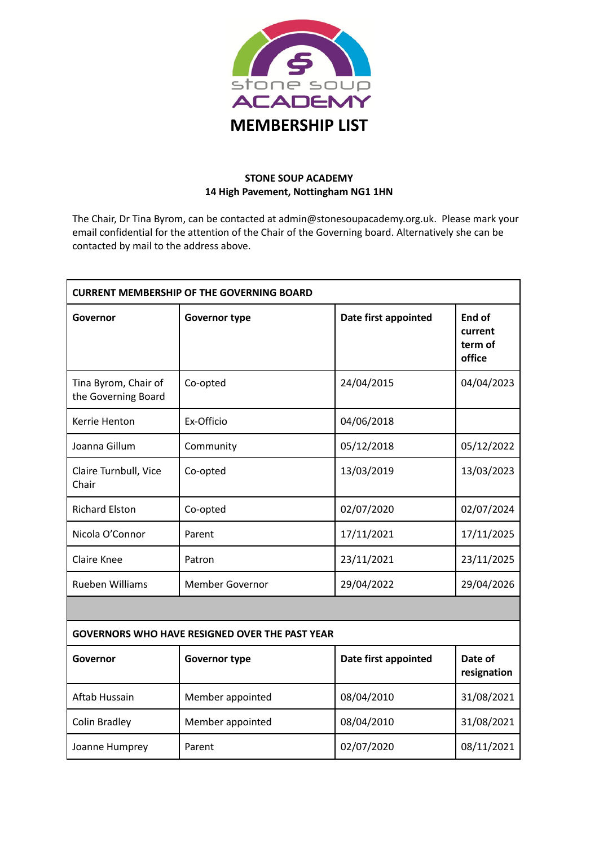

## **STONE SOUP ACADEMY 14 High Pavement, Nottingham NG1 1HN**

The Chair, Dr Tina Byrom, can be contacted at admin@stonesoupacademy.org.uk. Please mark your email confidential for the attention of the Chair of the Governing board. Alternatively she can be contacted by mail to the address above.

| <b>CURRENT MEMBERSHIP OF THE GOVERNING BOARD</b>      |                        |                      |                                        |  |  |
|-------------------------------------------------------|------------------------|----------------------|----------------------------------------|--|--|
| Governor                                              | <b>Governor type</b>   | Date first appointed | End of<br>current<br>term of<br>office |  |  |
| Tina Byrom, Chair of<br>the Governing Board           | Co-opted               | 24/04/2015           | 04/04/2023                             |  |  |
| Kerrie Henton                                         | Ex-Officio             | 04/06/2018           |                                        |  |  |
| Joanna Gillum                                         | Community              | 05/12/2018           | 05/12/2022                             |  |  |
| Claire Turnbull, Vice<br>Chair                        | Co-opted               | 13/03/2019           | 13/03/2023                             |  |  |
| <b>Richard Elston</b>                                 | Co-opted               | 02/07/2020           | 02/07/2024                             |  |  |
| Nicola O'Connor                                       | Parent                 | 17/11/2021           | 17/11/2025                             |  |  |
| <b>Claire Knee</b>                                    | Patron                 | 23/11/2021           | 23/11/2025                             |  |  |
| <b>Rueben Williams</b>                                | <b>Member Governor</b> | 29/04/2022           | 29/04/2026                             |  |  |
|                                                       |                        |                      |                                        |  |  |
| <b>GOVERNORS WHO HAVE RESIGNED OVER THE PAST YEAR</b> |                        |                      |                                        |  |  |
| Governor                                              | <b>Governor type</b>   | Date first appointed | Date of<br>resignation                 |  |  |
| Aftab Hussain                                         | Member appointed       | 08/04/2010           | 31/08/2021                             |  |  |
| Colin Bradley                                         | Member appointed       | 08/04/2010           | 31/08/2021                             |  |  |
| Joanne Humprey                                        | Parent                 | 02/07/2020           | 08/11/2021                             |  |  |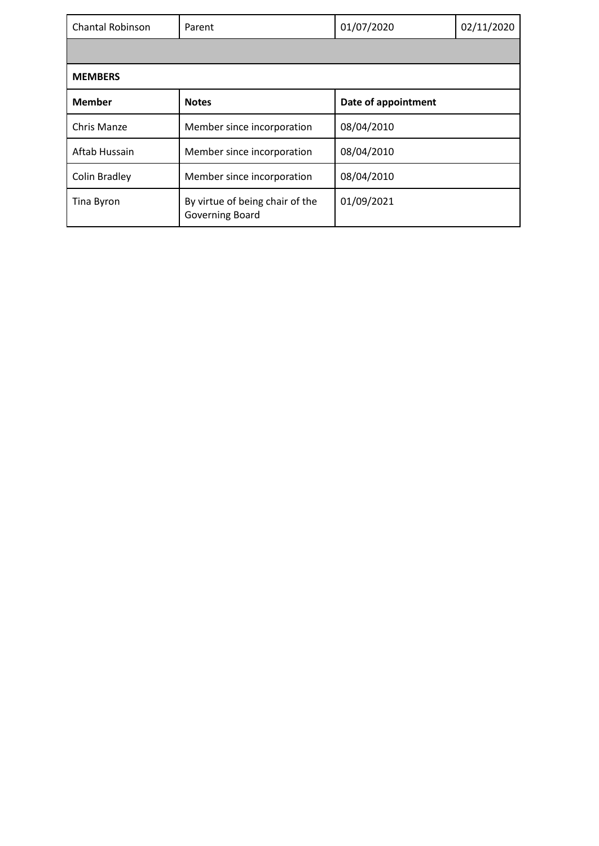| <b>Chantal Robinson</b> | Parent                                             | 01/07/2020          | 02/11/2020 |  |  |
|-------------------------|----------------------------------------------------|---------------------|------------|--|--|
|                         |                                                    |                     |            |  |  |
| <b>MEMBERS</b>          |                                                    |                     |            |  |  |
| <b>Member</b>           | <b>Notes</b>                                       | Date of appointment |            |  |  |
| Chris Manze             | Member since incorporation                         | 08/04/2010          |            |  |  |
| Aftab Hussain           | Member since incorporation                         | 08/04/2010          |            |  |  |
| <b>Colin Bradley</b>    | Member since incorporation                         | 08/04/2010          |            |  |  |
| Tina Byron              | By virtue of being chair of the<br>Governing Board | 01/09/2021          |            |  |  |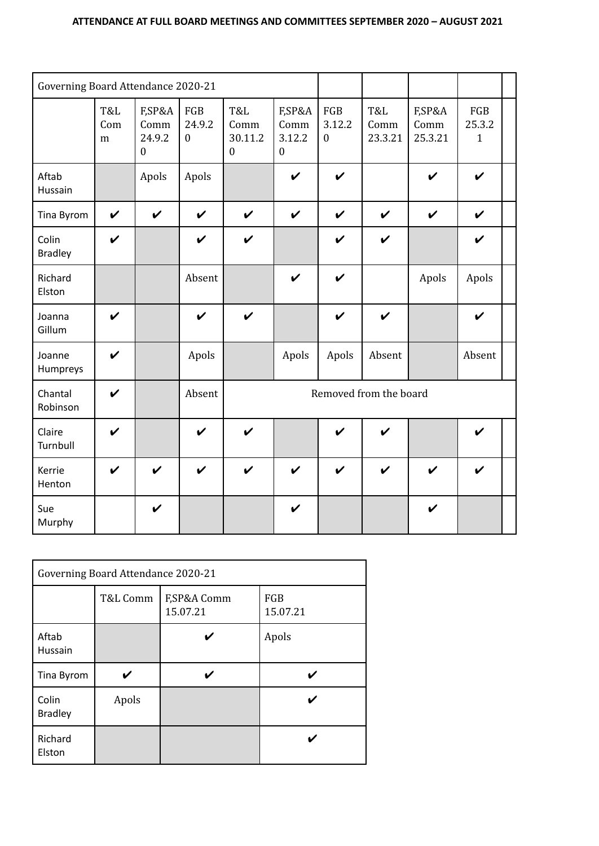| Governing Board Attendance 2020-21 |                    |                                              |                                   |                                        |                                              |                                   |                        |                           |                               |  |
|------------------------------------|--------------------|----------------------------------------------|-----------------------------------|----------------------------------------|----------------------------------------------|-----------------------------------|------------------------|---------------------------|-------------------------------|--|
|                                    | T&L<br>Com<br>m    | F,SP&A<br>Comm<br>24.9.2<br>$\boldsymbol{0}$ | FGB<br>24.9.2<br>$\boldsymbol{0}$ | T&L<br>Comm<br>30.11.2<br>$\mathbf{0}$ | F,SP&A<br>Comm<br>3.12.2<br>$\boldsymbol{0}$ | FGB<br>3.12.2<br>$\boldsymbol{0}$ | T&L<br>Comm<br>23.3.21 | F,SP&A<br>Comm<br>25.3.21 | FGB<br>25.3.2<br>$\mathbf{1}$ |  |
| Aftab<br>Hussain                   |                    | Apols                                        | Apols                             |                                        | $\checkmark$                                 | $\boldsymbol{\nu}$                |                        | $\boldsymbol{\nu}$        | $\boldsymbol{\nu}$            |  |
| Tina Byrom                         | $\checkmark$       | $\checkmark$                                 | $\boldsymbol{\nu}$                | $\checkmark$                           | $\checkmark$                                 | $\boldsymbol{\nu}$                | $\boldsymbol{\nu}$     | $\boldsymbol{\nu}$        | $\checkmark$                  |  |
| Colin<br><b>Bradley</b>            | $\boldsymbol{\nu}$ |                                              | $\boldsymbol{\nu}$                | $\boldsymbol{\nu}$                     |                                              | $\checkmark$                      | $\checkmark$           |                           | $\boldsymbol{\nu}$            |  |
| Richard<br>Elston                  |                    |                                              | Absent                            |                                        | V                                            | $\boldsymbol{\nu}$                |                        | Apols                     | Apols                         |  |
| Joanna<br>Gillum                   | $\boldsymbol{\nu}$ |                                              | $\boldsymbol{\nu}$                | $\boldsymbol{\nu}$                     |                                              | $\checkmark$                      | $\checkmark$           |                           | $\boldsymbol{\nu}$            |  |
| Joanne<br>Humpreys                 | $\boldsymbol{\nu}$ |                                              | Apols                             |                                        | Apols                                        | Apols                             | Absent                 |                           | Absent                        |  |
| Chantal<br>Robinson                | $\boldsymbol{\nu}$ |                                              | Removed from the board<br>Absent  |                                        |                                              |                                   |                        |                           |                               |  |
| Claire<br>Turnbull                 | $\boldsymbol{\nu}$ |                                              | $\boldsymbol{\nu}$                | $\boldsymbol{\nu}$                     |                                              | $\boldsymbol{\nu}$                | $\boldsymbol{\nu}$     |                           | ✔                             |  |
| Kerrie<br>Henton                   | $\boldsymbol{\nu}$ | $\boldsymbol{\nu}$                           | $\boldsymbol{\nu}$                | $\checkmark$                           | $\checkmark$                                 | $\boldsymbol{\nu}$                | $\boldsymbol{\nu}$     | $\boldsymbol{\nu}$        | $\checkmark$                  |  |
| Sue<br>Murphy                      |                    | $\boldsymbol{\nu}$                           |                                   |                                        | $\boldsymbol{\nu}$                           |                                   |                        | V                         |                               |  |

| Governing Board Attendance 2020-21 |          |                         |                 |  |
|------------------------------------|----------|-------------------------|-----------------|--|
|                                    | T&L Comm | F,SP&A Comm<br>15.07.21 | FGB<br>15.07.21 |  |
| Aftab<br>Hussain                   |          |                         | Apols           |  |
| Tina Byrom                         |          |                         |                 |  |
| Colin<br><b>Bradley</b>            | Apols    |                         |                 |  |
|                                    |          |                         |                 |  |